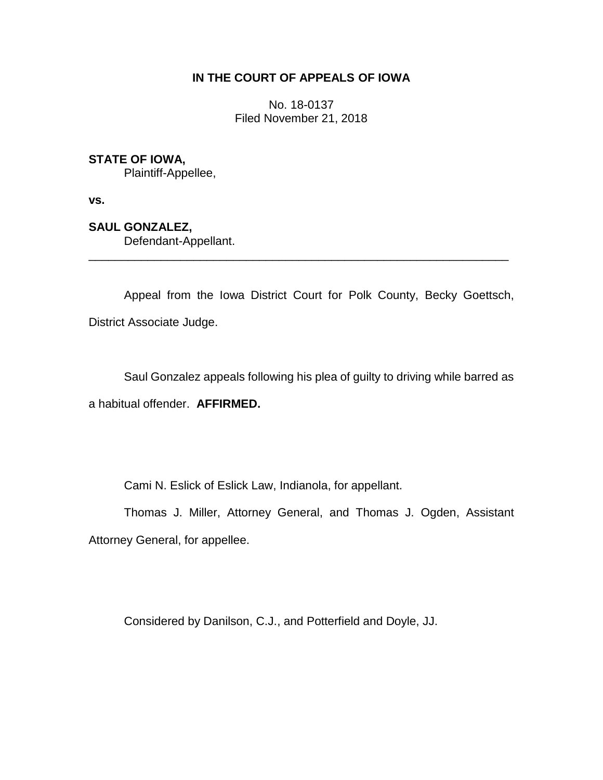## **IN THE COURT OF APPEALS OF IOWA**

No. 18-0137 Filed November 21, 2018

## **STATE OF IOWA,**

Plaintiff-Appellee,

**vs.**

**SAUL GONZALEZ,**

Defendant-Appellant.

Appeal from the Iowa District Court for Polk County, Becky Goettsch, District Associate Judge.

\_\_\_\_\_\_\_\_\_\_\_\_\_\_\_\_\_\_\_\_\_\_\_\_\_\_\_\_\_\_\_\_\_\_\_\_\_\_\_\_\_\_\_\_\_\_\_\_\_\_\_\_\_\_\_\_\_\_\_\_\_\_\_\_

Saul Gonzalez appeals following his plea of guilty to driving while barred as a habitual offender. **AFFIRMED.**

Cami N. Eslick of Eslick Law, Indianola, for appellant.

Thomas J. Miller, Attorney General, and Thomas J. Ogden, Assistant Attorney General, for appellee.

Considered by Danilson, C.J., and Potterfield and Doyle, JJ.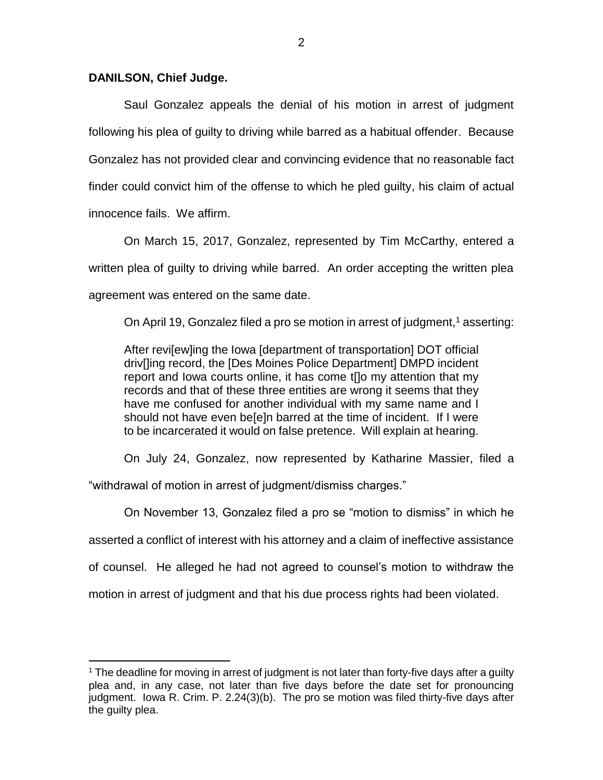## **DANILSON, Chief Judge.**

 $\overline{a}$ 

Saul Gonzalez appeals the denial of his motion in arrest of judgment following his plea of guilty to driving while barred as a habitual offender. Because Gonzalez has not provided clear and convincing evidence that no reasonable fact finder could convict him of the offense to which he pled guilty, his claim of actual innocence fails. We affirm.

On March 15, 2017, Gonzalez, represented by Tim McCarthy, entered a written plea of guilty to driving while barred. An order accepting the written plea agreement was entered on the same date.

On April 19, Gonzalez filed a pro se motion in arrest of judgment,  $1$  asserting:

After revi[ew]ing the Iowa [department of transportation] DOT official driv[]ing record, the [Des Moines Police Department] DMPD incident report and Iowa courts online, it has come t[]o my attention that my records and that of these three entities are wrong it seems that they have me confused for another individual with my same name and I should not have even be[e]n barred at the time of incident. If I were to be incarcerated it would on false pretence. Will explain at hearing.

On July 24, Gonzalez, now represented by Katharine Massier, filed a

"withdrawal of motion in arrest of judgment/dismiss charges."

On November 13, Gonzalez filed a pro se "motion to dismiss" in which he asserted a conflict of interest with his attorney and a claim of ineffective assistance of counsel. He alleged he had not agreed to counsel's motion to withdraw the motion in arrest of judgment and that his due process rights had been violated.

 $1$  The deadline for moving in arrest of judgment is not later than forty-five days after a guilty plea and, in any case, not later than five days before the date set for pronouncing judgment. Iowa R. Crim. P. 2.24(3)(b). The pro se motion was filed thirty-five days after the guilty plea.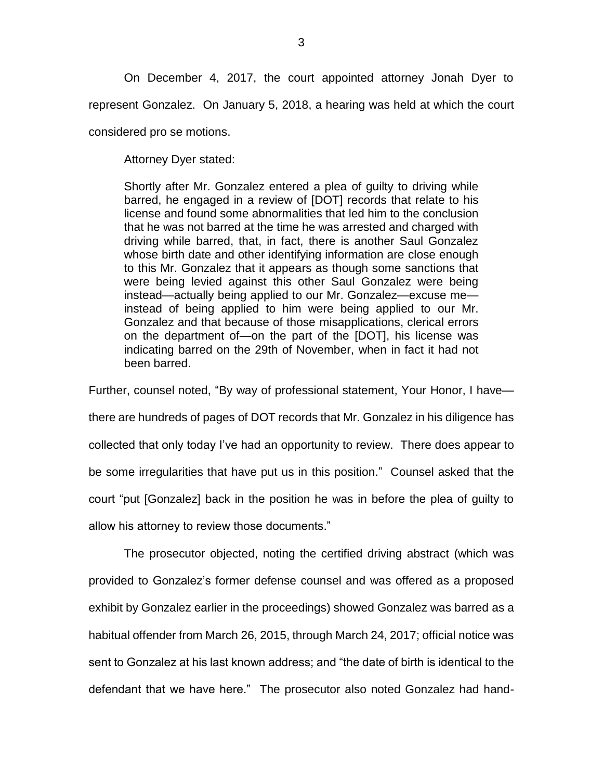On December 4, 2017, the court appointed attorney Jonah Dyer to represent Gonzalez. On January 5, 2018, a hearing was held at which the court considered pro se motions.

Attorney Dyer stated:

Shortly after Mr. Gonzalez entered a plea of guilty to driving while barred, he engaged in a review of [DOT] records that relate to his license and found some abnormalities that led him to the conclusion that he was not barred at the time he was arrested and charged with driving while barred, that, in fact, there is another Saul Gonzalez whose birth date and other identifying information are close enough to this Mr. Gonzalez that it appears as though some sanctions that were being levied against this other Saul Gonzalez were being instead—actually being applied to our Mr. Gonzalez—excuse me instead of being applied to him were being applied to our Mr. Gonzalez and that because of those misapplications, clerical errors on the department of—on the part of the [DOT], his license was indicating barred on the 29th of November, when in fact it had not been barred.

Further, counsel noted, "By way of professional statement, Your Honor, I have there are hundreds of pages of DOT records that Mr. Gonzalez in his diligence has collected that only today I've had an opportunity to review. There does appear to be some irregularities that have put us in this position." Counsel asked that the court "put [Gonzalez] back in the position he was in before the plea of guilty to allow his attorney to review those documents."

The prosecutor objected, noting the certified driving abstract (which was provided to Gonzalez's former defense counsel and was offered as a proposed exhibit by Gonzalez earlier in the proceedings) showed Gonzalez was barred as a habitual offender from March 26, 2015, through March 24, 2017; official notice was sent to Gonzalez at his last known address; and "the date of birth is identical to the defendant that we have here." The prosecutor also noted Gonzalez had hand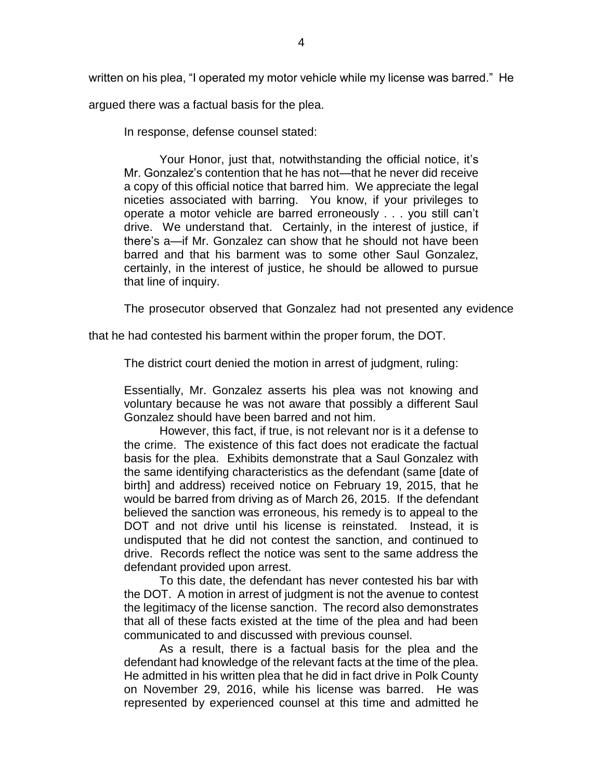written on his plea, "I operated my motor vehicle while my license was barred." He

argued there was a factual basis for the plea.

In response, defense counsel stated:

Your Honor, just that, notwithstanding the official notice, it's Mr. Gonzalez's contention that he has not—that he never did receive a copy of this official notice that barred him. We appreciate the legal niceties associated with barring. You know, if your privileges to operate a motor vehicle are barred erroneously . . . you still can't drive. We understand that. Certainly, in the interest of justice, if there's a—if Mr. Gonzalez can show that he should not have been barred and that his barment was to some other Saul Gonzalez, certainly, in the interest of justice, he should be allowed to pursue that line of inquiry.

The prosecutor observed that Gonzalez had not presented any evidence

that he had contested his barment within the proper forum, the DOT.

The district court denied the motion in arrest of judgment, ruling:

Essentially, Mr. Gonzalez asserts his plea was not knowing and voluntary because he was not aware that possibly a different Saul Gonzalez should have been barred and not him.

However, this fact, if true, is not relevant nor is it a defense to the crime. The existence of this fact does not eradicate the factual basis for the plea. Exhibits demonstrate that a Saul Gonzalez with the same identifying characteristics as the defendant (same [date of birth] and address) received notice on February 19, 2015, that he would be barred from driving as of March 26, 2015. If the defendant believed the sanction was erroneous, his remedy is to appeal to the DOT and not drive until his license is reinstated. Instead, it is undisputed that he did not contest the sanction, and continued to drive. Records reflect the notice was sent to the same address the defendant provided upon arrest.

To this date, the defendant has never contested his bar with the DOT. A motion in arrest of judgment is not the avenue to contest the legitimacy of the license sanction. The record also demonstrates that all of these facts existed at the time of the plea and had been communicated to and discussed with previous counsel.

As a result, there is a factual basis for the plea and the defendant had knowledge of the relevant facts at the time of the plea. He admitted in his written plea that he did in fact drive in Polk County on November 29, 2016, while his license was barred. He was represented by experienced counsel at this time and admitted he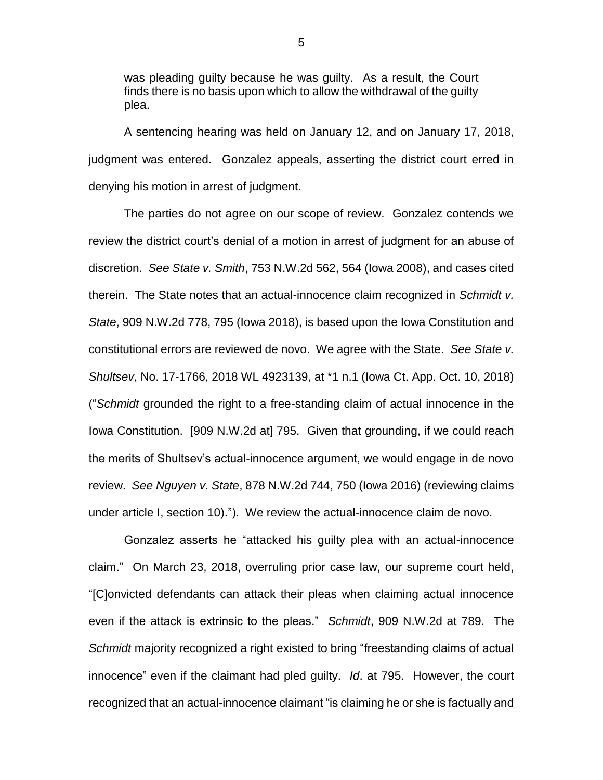was pleading guilty because he was guilty. As a result, the Court finds there is no basis upon which to allow the withdrawal of the guilty plea.

A sentencing hearing was held on January 12, and on January 17, 2018, judgment was entered. Gonzalez appeals, asserting the district court erred in denying his motion in arrest of judgment.

The parties do not agree on our scope of review. Gonzalez contends we review the district court's denial of a motion in arrest of judgment for an abuse of discretion. *See State v. Smith*, 753 N.W.2d 562, 564 (Iowa 2008), and cases cited therein. The State notes that an actual-innocence claim recognized in *Schmidt v. State*, 909 N.W.2d 778, 795 (Iowa 2018), is based upon the Iowa Constitution and constitutional errors are reviewed de novo. We agree with the State. *See State v. Shultsev*, No. 17-1766, 2018 WL 4923139, at \*1 n.1 (Iowa Ct. App. Oct. 10, 2018) ("*Schmidt* grounded the right to a free-standing claim of actual innocence in the Iowa Constitution. [909 N.W.2d at] 795. Given that grounding, if we could reach the merits of Shultsev's actual-innocence argument, we would engage in de novo review. *See Nguyen v. State*, 878 N.W.2d 744, 750 (Iowa 2016) (reviewing claims under article I, section 10)."). We review the actual-innocence claim de novo.

Gonzalez asserts he "attacked his guilty plea with an actual-innocence claim." On March 23, 2018, overruling prior case law, our supreme court held, "[C]onvicted defendants can attack their pleas when claiming actual innocence even if the attack is extrinsic to the pleas." *Schmidt*, 909 N.W.2d at 789. The *Schmidt* majority recognized a right existed to bring "freestanding claims of actual innocence" even if the claimant had pled guilty. *Id*. at 795. However, the court recognized that an actual-innocence claimant "is claiming he or she is factually and